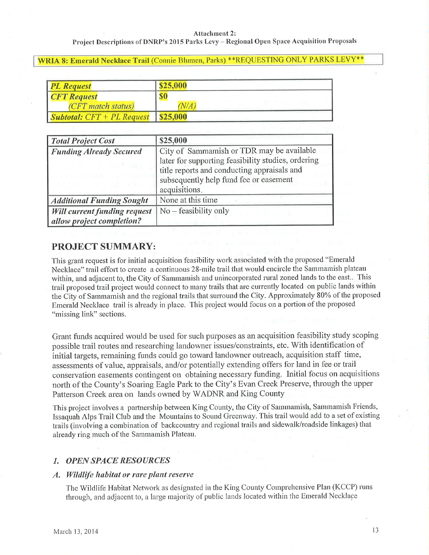Project Descriptions of DNRP's 2015 Parks Levy - Regional Open Space Acquisition Proposals

WRIA 8: Emerald Necklace Trail (Connie Blumen, Parks) \*\* REQUESTING ONLY PARKS LEVY\*\*

| <b>PL Request</b>                                     | \$25,000   |
|-------------------------------------------------------|------------|
| <b>CFT</b> Request                                    | <b>\$0</b> |
| (CFT match status)                                    | $N\!/\!A$  |
| $\vert$ Subtotal: $CFT + PL$ Request $\vert$ \$25,000 |            |

| <b>Total Project Cost</b>           | \$25,000                                                                                                                                                                                                  |
|-------------------------------------|-----------------------------------------------------------------------------------------------------------------------------------------------------------------------------------------------------------|
| <b>Funding Already Secured</b>      | City of Sammamish or TDR may be available<br>later for supporting feasibility studies, ordering<br>title reports and conducting appraisals and<br>subsequently help fund fee or easement<br>acquisitions. |
| <b>Additional Funding Sought</b>    | None at this time                                                                                                                                                                                         |
| <b>Will current funding request</b> | $No - feasibility$ only                                                                                                                                                                                   |
| allow project completion?           |                                                                                                                                                                                                           |

# **PROJECT SUMMARY:**

This grant request is for initial acquisition feasibility work associated with the proposed "Emerald Necklace" trail effort to create a continuous 28-mile trail that would encircle the Sammamish plateau within, and adjacent to, the City of Sammamish and unincorporated rural zoned lands to the east.. This trail proposed trail project would connect to many trails that are currently located on public lands within the City of Sammamish and the regional trails that surround the City. Approximately 80% of the proposed Emerald Necklace trail is already in place. This project would focus on a portion of the proposed "missing link" sections.

Grant funds acquired would be used for such purposes as an acquisition feasibility study scoping possible trail routes and researching landowner issues/constraints, etc. With identification of initial targets, remaining funds could go toward landowner outreach, acquisition staff time, assessments of value, appraisals, and/or potentially extending offers for land in fee or trail conservation easements contingent on obtaining necessary funding. Initial focus on acquisitions north of the County's Soaring Eagle Park to the City's Evan Creek Preserve, through the upper Patterson Creek area on lands owned by WADNR and King County

This project involves a partnership between King County, the City of Sammamish, Sammamish Friends, Issaquah Alps Trail Club and the Mountains to Sound Greenway. This trail would add to a set of existing trails (involving a combination of backcountry and regional trails and sidewalk/roadside linkages) that already ring much of the Sammamish Plateau.

# **1. OPEN SPACE RESOURCES**

### A. Wildlife habitat or rare plant reserve

The Wildlife Habitat Network as designated in the King County Comprehensive Plan (KCCP) runs through, and adjacent to, a large majority of public lands located within the Emerald Necklace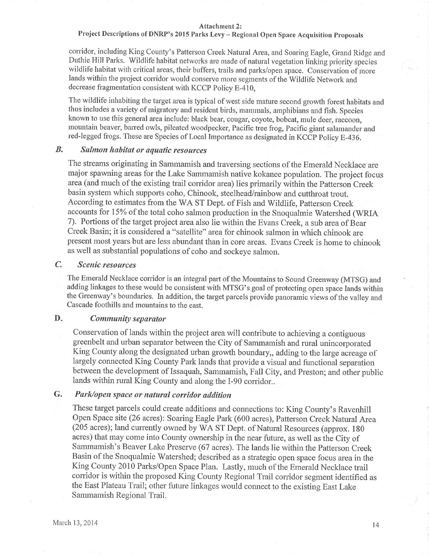# Project Descriptions of DNRP's 2015 Parks Levy - Regional Open Space Acquisition Proposals

corridor, including King County's Patterson Creek Natural Area, and Soaring Eagle, Grand Ridge and Duthie Hill Parks. Wildlife habitat netrvorks are made of natural vegetation linking priority species wildlife habitat with critical areas, their buffers, trails and parks/open space. Conservation of more lands within the project corridor would conserve more segments of the Wildlife Network and decrease fragmentation consistent with KCCP Policy E-410,

The wildlife inhabiting the target area is typical of west side mature second growth forest habitats and thus includes a variety of migratory and resident birds, mammals, amphibians and fish. Species known to use this general area include: black bear, cougar, coyote, bobcat, mule deer, raccoon, mountain beaver, barred owls, pileated woodpecker, Pacific tree frog, Pacific giant salamander and red-legged frogs. These are Species of Local Importance as designated in KCCP Policy E-436.

#### B. Salmon habitat or aquatic resources

The streams originating in Sammamish and traversing sections of the Emerald Necklace are major spawning areas for the Lake Sammamish native kokanee population. The project focus area (and much of the existing trail corridor area) lies primarily within the Patterson Creek basin system which supports coho, Chinook, steelhead/rainbow and cutthroat trout. According to estimates from the WA ST Dept. of Fish and Wildlife, Patterson Creek accounts for 15% of the total coho salmon production in the Snoqualmie Watershed (WRIA 7). Portions of the target project area also lie within the Evans Creek, a sub area of Bear Creek Basin; it is considered a "satellite" area for chinook salmon in which chinook are present most years but are less abundant than in core areas. Evans Creek is home to chinook as well as substantial populations of coho and sockeye salmon.

#### C. Scenic resources

The Emerald Necklace corridor is an integral part of the Mountains to Sound Greenway (MTSG) and adding linkages to these would be consistent with MTSG's goal of protecting open space lands within the Greenway's boundaries. In addition, the target parcels provide panoramic views of the valley and Cascade foothills and mountains to the east.

#### D. Community separator

Conservation of lands within the project area will contribute to achieving a contiguous greenbelt and urban separator between the City of Sammamish and rural unincorporated King County along the designated urban growth boundary,, adding to the large acreage of largely comected King County Park lands that provide a visual and functional separation between the developrnent of Issaquah, Samrnamish, Fall City, and Preston; and other public lands within rural King County and along the I-90 corridor..

#### G. Park/open space or natural corridor addition

These target parcels could create additions and connections to: King County's Ravenhill Open Space site (26 acres): Soaring Eagle Park (600 acres), Patterson Creek Natural Area (205 acres); land currently owned by WA ST Dept. of Natural Resources (approx. 180 acres) that may come into County ownership in the near future, as well as the City of Sammamish's Beaver Lake Preserve (67 acres). The lands lie within the Patterson Creek Basin of the Snoqualmie Watershed; described as a strategic open space focus area in the King County 2010 Parks/Open Space Plan. Lastly, much of the Ernerald Necklace trail corridor is within the proposed King County Regional Trail corridor segment identified as the East Plateau Trail; other future linkages would connect to the existing East Lake Sammamish Regional Trail.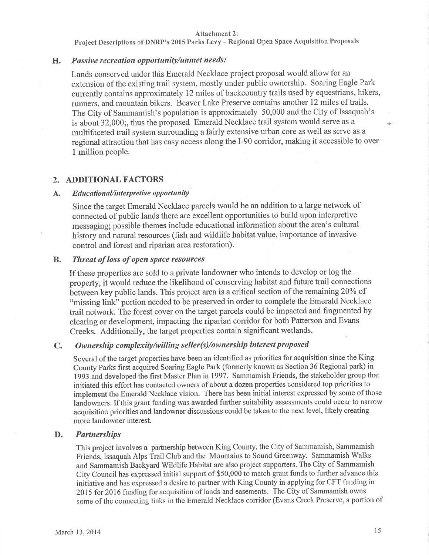Project Descriptions of DNRP's 2015 Parks Levy - Regional Open Space Acquisition Proposals

## H. Passive recreation opportunity/unmet needs:

Lands conserved under this Emerald Necklace project proposal would allow for an extension of the existing trail system, mostly under public ownership. Soaring Eagle Park currently contains approximately 12 miles of backcountry trails used by equestrians, hikers, runners, and mountain bikers. Beaver Lake Preserve contains another 12 miles of trails. The City of Sammamish's population is approximately 50,000 and the City of Issaquah's is about 32,000;, thus the proposed Emerald Necklace trail system would serve as a multifaceted trail system surrounding a fairly extensive urban core as well as serve as a regional attraction that has easy access along the I-90 corridor, making it accessible to over 1 million people.

## 2. ADDITIONAL FACTORS

### A. Educational/interpretive opportunity

Since the target Emerald Necklace parcels would be an addition to a large network of connected of public lands there are excellent opportunities to build upon interpretive messaging; possible themes include educational information about the area's cultural history and natural resources (fish and wildlife habitat value, importance of invasive control and forest and riparian area restoration).

#### B. Threat of loss of open space resources

If these properties are sold to a private landowner who intends to develop or log the property, it would reduce the likelihood of conserving habitat and future trail connections between key public lands. This project area is a critical section of the remaining 20% of "missing link" portion needed to be preserved in order to complete the Emerald Necklace trail network. The forest cover on the target parcels could be impacted and fragmented by clearing or development, impacting the riparian corridor for both Patterson and Evans Creeks. Additionally, the target properties contain significant wetlands.

#### Ownership complexity/willing seller(s)/ownership interest proposed C.

Several of the target properties have been an identified as priorities for acquisition since the King County Parks first acquired Soaring Eagle Park (formerly known as Section 36 Regional park) in 1993 and developed the first Master Plan in 1997. Sammamish Friends, the stakeholder group that initiated this effort has contacted owners of about a dozen properties considered top priorities to implement the Emerald Necklace vision. There has been initial interest expressed by some of those landowners. If this grant funding was awarded further suitability assessments could occur to narrow acquisition priorities and landowner discussions could be taken to the next level, likely creating more landowner interest.

#### **Partnerships** D.

This project involves a partnership between King County, the City of Sammamish, Sammamish Friends, Issaquah Alps Trail Club and the Mountains to Sound Greenway. Sammamish Walks and Sammamish Backyard Wildlife Habitat are also project supporters. The City of Sammamish City Council has expressed initial support of \$50,000 to match grant funds to further advance this initiative and has expressed a desire to partner with King County in applying for CFT funding in 2015 for 2016 funding for acquisition of lands and easements. The City of Sammamish owns some of the connecting links in the Emerald Necklace corridor (Evans Creek Preserve, a portion of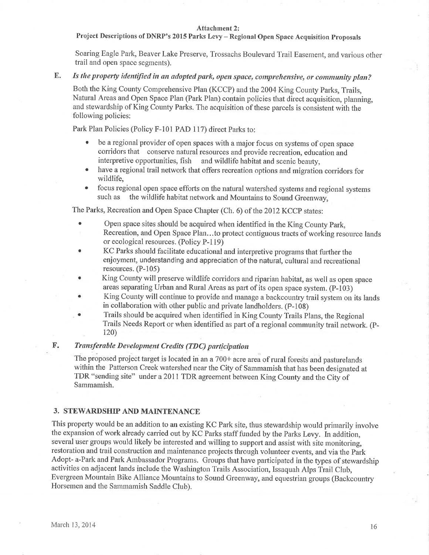## Project Descriptions of DNRP's 2015 Parks Levy - Regional Open Space Acquisition Proposals

Soaring Eagle Park, Beaver Lake Preserve, Trossachs Boulevard Trail Easement, and various other trail and open space segments).

#### E. Is the property identified in an adopted park, open space, comprehensive, or community plan?

Both the King County Comprehensive Plan (KCCP) and the 2004 King County Parks, Trails, Natural Ateas and Open Space Plan (Park Plan) contain policies that direct acquisition, planning, and stewardship of King County Parks. The acquisition of these parcels is consistent with the following policies:

Park Plan Policies (Policy F-101 PAD 117) direct Parks to:

- be a regional provider of open spaces with a major focus on systems of open space corridors that conserve natural resources and provide recreation, education and interpretive opportunities, fish and wildlife habitat and scenic beauty,
- have a regional trail network that offers recreation options and migration corridors for wildlife,
- focus regional open space efforts on the natural watershed systems and regional systems<br>such as the wildlife habitat network and Mountains to Sound Greenway the wildlife habitat network and Mountains to Sound Greenway,

The Parks, Recreation and Open Space Chapter (Ch. 6) of the 2012 KCCP states:

- . Open space sites should be acquired when identified in the King County Park, Recreation, and Open Space Plan...to protect contiguous tracts of working resource lands or ecological resources. (Policy P-1 19)
- KC Parks should facilitate educational and interpretive programs that further the enjoyrnent, understanding and appreciation of the natural, cultural and recreational resources. (P-105)
- King County will preserve wildlife corridors and riparian habitat, as well as open space areas separating Urban and Rural Areas as part of its open space system. (P-103)
- . King County will continue to provide and manage a backcountry trail systern on its lands in collaboration with other public and private landholders. (P-108)
- Trails should be acquired when identified in King County Trails Plans, the Regional Trails Needs Report or when identified as part of a regional community trail network. (P-120)

#### Transferable Development Credits (TDC) participation  $\mathbf{F}$ .

The proposed project target is located in an a 700+ acre area of rural forests and pasturelands within the Patterson Creek watershed near the City of Sammamish that has been designated at TDR "sending site" under a 2011 TDR agreement between King County and the City of Sammamish.

### 3. STEWARDSHIP AND MAINTENANCE

This property would be an addition to an existing KC Park site, thus stewardship would primarily involve the expansion of work already carried out by KC Parks staff funded by the Parks Levy. In addition, several user groups would likely be interested and willing to support and assist with site monitoring, restoration and trail construction and maintenance projects through volunteer events, and via the Park Adopt- a-Park and Park Ambassador Programs. Groups that have participated in the types of stewardship activities on adjacent lands include the Washington Trails Association, Issaquah Alps Trail Club, Evergreen Mountain Bike Alliance Mountains to Sound Greenway, and equestrian groups (Backcountry Horsernen and the Sammamish Saddle Club).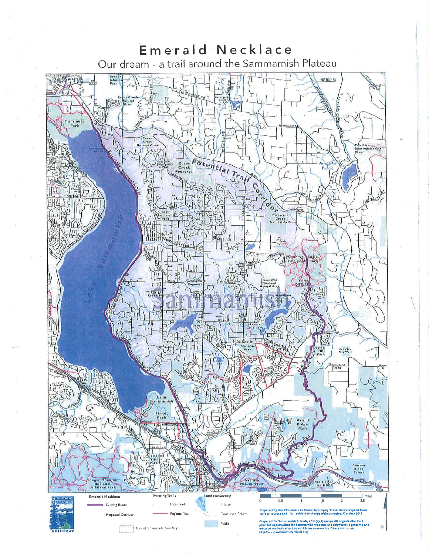